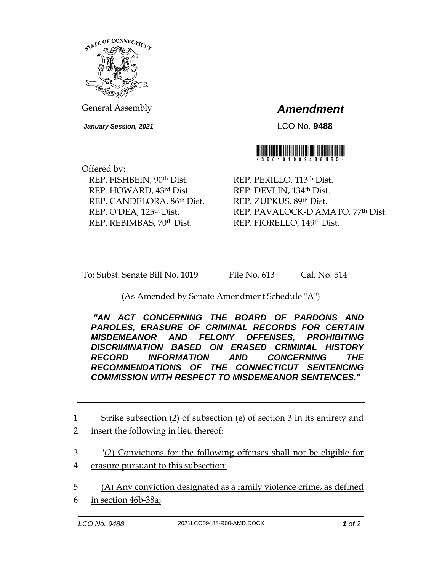

General Assembly *Amendment*

*January Session, 2021* LCO No. **9488**



Offered by: REP. FISHBEIN, 90th Dist. REP. HOWARD, 43rd Dist. REP. CANDELORA, 86th Dist. REP. O'DEA, 125th Dist. REP. REBIMBAS, 70th Dist.

REP. PERILLO, 113th Dist. REP. DEVLIN, 134th Dist. REP. ZUPKUS, 89th Dist. REP. PAVALOCK-D'AMATO, 77th Dist. REP. FIORELLO, 149th Dist.

To: Subst. Senate Bill No. **1019** File No. 613 Cal. No. 514

(As Amended by Senate Amendment Schedule "A")

*"AN ACT CONCERNING THE BOARD OF PARDONS AND PAROLES, ERASURE OF CRIMINAL RECORDS FOR CERTAIN MISDEMEANOR AND FELONY OFFENSES, PROHIBITING DISCRIMINATION BASED ON ERASED CRIMINAL HISTORY RECORD INFORMATION AND CONCERNING THE RECOMMENDATIONS OF THE CONNECTICUT SENTENCING COMMISSION WITH RESPECT TO MISDEMEANOR SENTENCES."* 

1 Strike subsection (2) of subsection (e) of section 3 in its entirety and 2 insert the following in lieu thereof:

3 "(2) Convictions for the following offenses shall not be eligible for 4 erasure pursuant to this subsection:

5 (A) Any conviction designated as a family violence crime, as defined 6 in section 46b-38a;